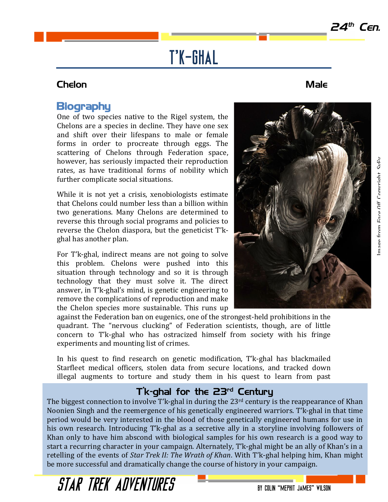Image from *Face Off*, Copyright SyFy.

mage from Face  $\Omega$ ff Convright SvEv

# T'k-ghal

### Chelon Male

## **Biography**

One of two species native to the Rigel system, the Chelons are a species in decline. They have one sex and shift over their lifespans to male or female forms in order to procreate through eggs. The scattering of Chelons through Federation space, however, has seriously impacted their reproduction rates, as have traditional forms of nobility which further complicate social situations.

While it is not yet a crisis, xenobiologists estimate that Chelons could number less than a billion within two generations. Many Chelons are determined to reverse this through social programs and policies to reverse the Chelon diaspora, but the geneticist T'kghal has another plan.

For T'k-ghal, indirect means are not going to solve this problem. Chelons were pushed into this situation through technology and so it is through technology that they must solve it. The direct answer, in T'k-ghal's mind, is genetic engineering to remove the complications of reproduction and make the Chelon species more sustainable. This runs up

against the Federation ban on eugenics, one of the strongest-held prohibitions in the quadrant. The "nervous clucking" of Federation scientists, though, are of little concern to T'k-ghal who has ostracized himself from society with his fringe experiments and mounting list of crimes.

In his quest to find research on genetic modification, T'k-ghal has blackmailed Starfleet medical officers, stolen data from secure locations, and tracked down illegal augments to torture and study them in his quest to learn from past

### T'k-ghal for the 23rd Century

The biggest connection to involve T'k-ghal in during the  $23<sup>rd</sup>$  century is the reappearance of Khan Noonien Singh and the reemergence of his genetically engineered warriors. T'k-ghal in that time period would be very interested in the blood of those genetically engineered humans for use in his own research. Introducing T'k-ghal as a secretive ally in a storyline involving followers of Khan only to have him abscond with biological samples for his own research is a good way to start a recurring character in your campaign. Alternately, T'k-ghal might be an ally of Khan's in a retelling of the events of *Star Trek II: The Wrath of Khan*. With T'k-ghal helping him, Khan might be more successful and dramatically change the course of history in your campaign.